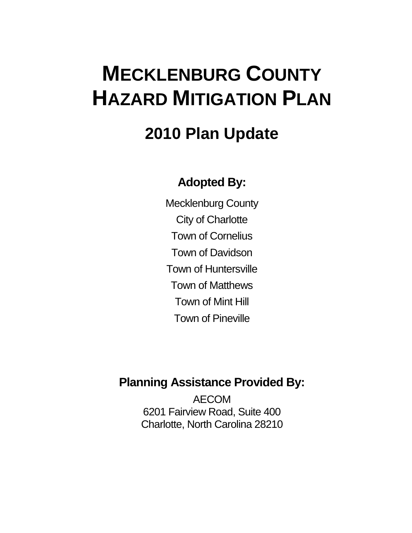## **MECKLENBURG COUNTY HAZARD MITIGATION PLAN**

## **2010 Plan Update**

## **Adopted By:**

Mecklenburg County City of Charlotte Town of Cornelius Town of Davidson Town of Huntersville Town of Matthews Town of Mint Hill Town of Pineville

### **Planning Assistance Provided By:**

AECOM 6201 Fairview Road, Suite 400 Charlotte, North Carolina 28210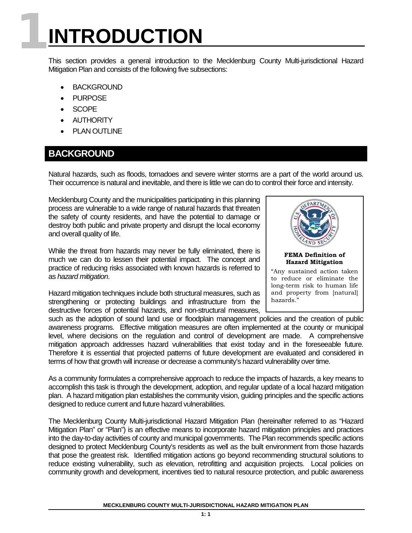# **1INTRODUCTION**

This section provides a general introduction to the Mecklenburg County Multi-jurisdictional Hazard Mitigation Plan and consists of the following five subsections:

- **BACKGROUND**
- PURPOSE
- SCOPE
- AUTHORITY
- PLAN OUTLINE

#### **BACKGROUND**

Natural hazards, such as floods, tornadoes and severe winter storms are a part of the world around us. Their occurrence is natural and inevitable, and there is little we can do to control their force and intensity.

Mecklenburg County and the municipalities participating in this planning process are vulnerable to a wide range of natural hazards that threaten the safety of county residents, and have the potential to damage or destroy both public and private property and disrupt the local economy and overall quality of life.

While the threat from hazards may never be fully eliminated, there is much we can do to lessen their potential impact. The concept and practice of reducing risks associated with known hazards is referred to as *hazard mitigation*.

Hazard mitigation techniques include both structural measures, such as strengthening or protecting buildings and infrastructure from the destructive forces of potential hazards, and non-structural measures,



and property from [natural]

hazards."

such as the adoption of sound land use or floodplain management policies and the creation of public awareness programs. Effective mitigation measures are often implemented at the county or municipal level, where decisions on the regulation and control of development are made. A comprehensive mitigation approach addresses hazard vulnerabilities that exist today and in the foreseeable future. Therefore it is essential that projected patterns of future development are evaluated and considered in terms of how that growth will increase or decrease a community's hazard vulnerability over time.

As a community formulates a comprehensive approach to reduce the impacts of hazards, a key means to accomplish this task is through the development, adoption, and regular update of a local hazard mitigation plan. A hazard mitigation plan establishes the community vision, guiding principles and the specific actions designed to reduce current and future hazard vulnerabilities.

The Mecklenburg County Multi-jurisdictional Hazard Mitigation Plan (hereinafter referred to as "Hazard Mitigation Plan" or "Plan") is an effective means to incorporate hazard mitigation principles and practices into the day-to-day activities of county and municipal governments. The Plan recommends specific actions designed to protect Mecklenburg County's residents as well as the built environment from those hazards that pose the greatest risk. Identified mitigation actions go beyond recommending structural solutions to reduce existing vulnerability, such as elevation, retrofitting and acquisition projects. Local policies on community growth and development, incentives tied to natural resource protection, and public awareness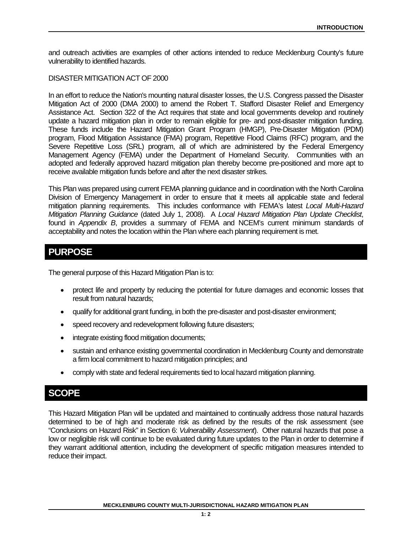and outreach activities are examples of other actions intended to reduce Mecklenburg County's future vulnerability to identified hazards.

#### DISASTER MITIGATION ACT OF 2000

In an effort to reduce the Nation's mounting natural disaster losses, the U.S. Congress passed the Disaster Mitigation Act of 2000 (DMA 2000) to amend the Robert T. Stafford Disaster Relief and Emergency Assistance Act. Section 322 of the Act requires that state and local governments develop and routinely update a hazard mitigation plan in order to remain eligible for pre- and post-disaster mitigation funding. These funds include the Hazard Mitigation Grant Program (HMGP), Pre-Disaster Mitigation (PDM) program, Flood Mitigation Assistance (FMA) program, Repetitive Flood Claims (RFC) program, and the Severe Repetitive Loss (SRL) program, all of which are administered by the Federal Emergency Management Agency (FEMA) under the Department of Homeland Security. Communities with an adopted and federally approved hazard mitigation plan thereby become pre-positioned and more apt to receive available mitigation funds before and after the next disaster strikes.

This Plan was prepared using current FEMA planning guidance and in coordination with the North Carolina Division of Emergency Management in order to ensure that it meets all applicable state and federal mitigation planning requirements. This includes conformance with FEMA's latest *Local Multi-Hazard Mitigation Planning Guidance* (dated July 1, 2008). A *Local Hazard Mitigation Plan Update Checklist*, found in *Appendix B*, provides a summary of FEMA and NCEM's current minimum standards of acceptability and notes the location within the Plan where each planning requirement is met.

#### **PURPOSE**

The general purpose of this Hazard Mitigation Plan is to:

- protect life and property by reducing the potential for future damages and economic losses that result from natural hazards;
- qualify for additional grant funding, in both the pre-disaster and post-disaster environment;
- speed recovery and redevelopment following future disasters;
- integrate existing flood mitigation documents;
- sustain and enhance existing governmental coordination in Mecklenburg County and demonstrate a firm local commitment to hazard mitigation principles; and
- comply with state and federal requirements tied to local hazard mitigation planning.

#### **SCOPE**

This Hazard Mitigation Plan will be updated and maintained to continually address those natural hazards determined to be of high and moderate risk as defined by the results of the risk assessment (see "Conclusions on Hazard Risk" in Section 6: *Vulnerability Assessment*). Other natural hazards that pose a low or negligible risk will continue to be evaluated during future updates to the Plan in order to determine if they warrant additional attention, including the development of specific mitigation measures intended to reduce their impact.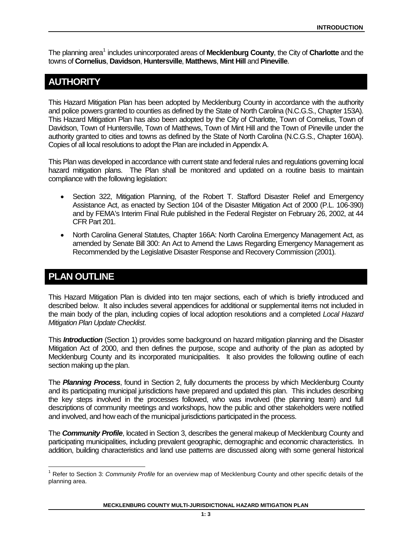The planning area<sup>1</sup> includes unincorporated areas of **Mecklenburg County**, the City of **Charlotte** and the towns of **Cornelius**, **Davidson**, **Huntersville**, **Matthews**, **Mint Hill** and **Pineville**.

#### **AUTHORITY**

This Hazard Mitigation Plan has been adopted by Mecklenburg County in accordance with the authority and police powers granted to counties as defined by the State of North Carolina (N.C.G.S., Chapter 153A). This Hazard Mitigation Plan has also been adopted by the City of Charlotte, Town of Cornelius, Town of Davidson, Town of Huntersville, Town of Matthews, Town of Mint Hill and the Town of Pineville under the authority granted to cities and towns as defined by the State of North Carolina (N.C.G.S., Chapter 160A). Copies of all local resolutions to adopt the Plan are included in Appendix A.

This Plan was developed in accordance with current state and federal rules and regulations governing local hazard mitigation plans. The Plan shall be monitored and updated on a routine basis to maintain compliance with the following legislation:

- Section 322, Mitigation Planning, of the Robert T. Stafford Disaster Relief and Emergency Assistance Act, as enacted by Section 104 of the Disaster Mitigation Act of 2000 (P.L. 106-390) and by FEMA's Interim Final Rule published in the Federal Register on February 26, 2002, at 44 CFR Part 201.
- North Carolina General Statutes, Chapter 166A: North Carolina Emergency Management Act, as amended by Senate Bill 300: An Act to Amend the Laws Regarding Emergency Management as Recommended by the Legislative Disaster Response and Recovery Commission (2001).

#### **PLAN OUTLINE**

This Hazard Mitigation Plan is divided into ten major sections, each of which is briefly introduced and described below. It also includes several appendices for additional or supplemental items not included in the main body of the plan, including copies of local adoption resolutions and a completed *Local Hazard Mitigation Plan Update Checklist*.

This *Introduction* (Section 1) provides some background on hazard mitigation planning and the Disaster Mitigation Act of 2000, and then defines the purpose, scope and authority of the plan as adopted by Mecklenburg County and its incorporated municipalities. It also provides the following outline of each section making up the plan.

The *Planning Process*, found in Section 2, fully documents the process by which Mecklenburg County and its participating municipal jurisdictions have prepared and updated this plan. This includes describing the key steps involved in the processes followed, who was involved (the planning team) and full descriptions of community meetings and workshops, how the public and other stakeholders were notified and involved, and how each of the municipal jurisdictions participated in the process.

The *Community Profile*, located in Section 3, describes the general makeup of Mecklenburg County and participating municipalities, including prevalent geographic, demographic and economic characteristics. In addition, building characteristics and land use patterns are discussed along with some general historical

<span id="page-3-0"></span><sup>1</sup> Refer to Section 3: *Community Profile* for an overview map of Mecklenburg County and other specific details of the planning area.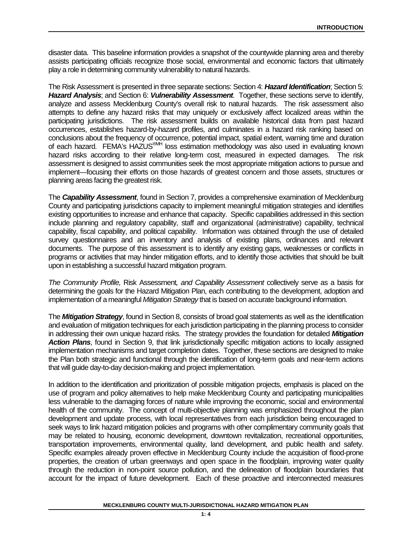disaster data. This baseline information provides a snapshot of the countywide planning area and thereby assists participating officials recognize those social, environmental and economic factors that ultimately play a role in determining community vulnerability to natural hazards.

The Risk Assessment is presented in three separate sections: Section 4: *Hazard Identification*; Section 5: *Hazard Analysis*; and Section 6: *Vulnerability Assessment*. Together, these sections serve to identify, analyze and assess Mecklenburg County's overall risk to natural hazards. The risk assessment also attempts to define any hazard risks that may uniquely or exclusively affect localized areas within the participating jurisdictions. The risk assessment builds on available historical data from past hazard occurrences, establishes hazard-by-hazard profiles, and culminates in a hazard risk ranking based on conclusions about the frequency of occurrence, potential impact, spatial extent, warning time and duration of each hazard. FEMA's HAZUS®MH loss estimation methodology was also used in evaluating known hazard risks according to their relative long-term cost, measured in expected damages. The risk assessment is designed to assist communities seek the most appropriate mitigation actions to pursue and implement—focusing their efforts on those hazards of greatest concern and those assets, structures or planning areas facing the greatest risk.

The *Capability Assessment*, found in Section 7, provides a comprehensive examination of Mecklenburg County and participating jurisdictions capacity to implement meaningful mitigation strategies and identifies existing opportunities to increase and enhance that capacity. Specific capabilities addressed in this section include planning and regulatory capability, staff and organizational (administrative) capability, technical capability, fiscal capability, and political capability. Information was obtained through the use of detailed survey questionnaires and an inventory and analysis of existing plans, ordinances and relevant documents. The purpose of this assessment is to identify any existing gaps, weaknesses or conflicts in programs or activities that may hinder mitigation efforts, and to identify those activities that should be built upon in establishing a successful hazard mitigation program.

*The Community Profile,* Risk Assessment*, and Capability Assessment* collectively serve as a basis for determining the goals for the Hazard Mitigation Plan, each contributing to the development, adoption and implementation of a meaningful *Mitigation Strategy* that is based on accurate background information.

The *Mitigation Strategy*, found in Section 8, consists of broad goal statements as well as the identification and evaluation of mitigation techniques for each jurisdiction participating in the planning process to consider in addressing their own unique hazard risks. The strategy provides the foundation for detailed *Mitigation Action Plans*, found in Section 9, that link jurisdictionally specific mitigation actions to locally assigned implementation mechanisms and target completion dates. Together, these sections are designed to make the Plan both strategic and functional through the identification of long-term goals and near-term actions that will guide day-to-day decision-making and project implementation.

In addition to the identification and prioritization of possible mitigation projects, emphasis is placed on the use of program and policy alternatives to help make Mecklenburg County and participating municipalities less vulnerable to the damaging forces of nature while improving the economic, social and environmental health of the community. The concept of multi-objective planning was emphasized throughout the plan development and update process, with local representatives from each jurisdiction being encouraged to seek ways to link hazard mitigation policies and programs with other complimentary community goals that may be related to housing, economic development, downtown revitalization, recreational opportunities, transportation improvements, environmental quality, land development, and public health and safety. Specific examples already proven effective in Mecklenburg County include the acquisition of flood-prone properties, the creation of urban greenways and open space in the floodplain, improving water quality through the reduction in non-point source pollution, and the delineation of floodplain boundaries that account for the impact of future development. Each of these proactive and interconnected measures